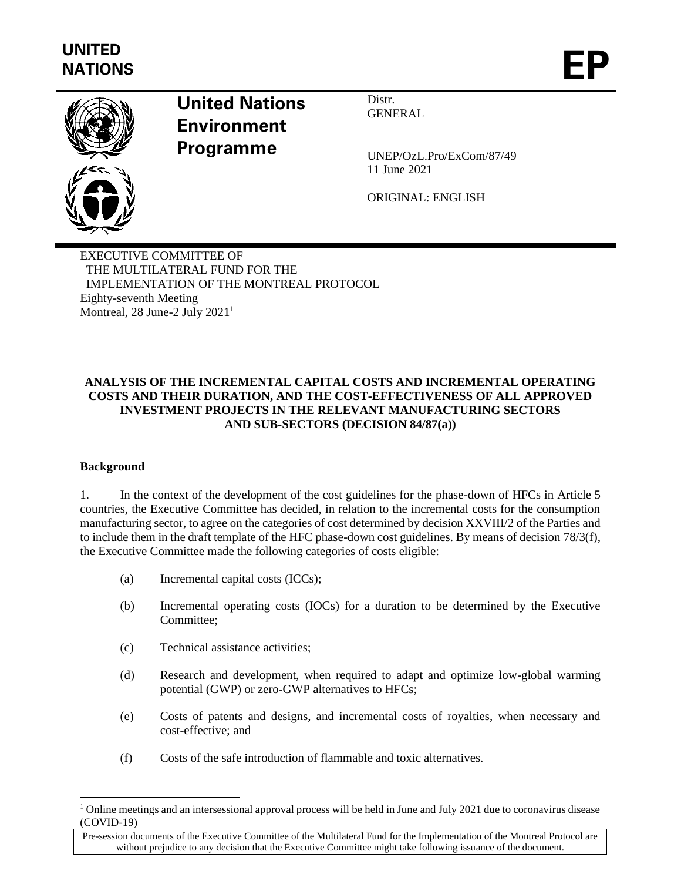

# **United Nations Environment Programme**

Distr. GENERAL

UNEP/OzL.Pro/ExCom/87/49 11 June 2021

ORIGINAL: ENGLISH

EXECUTIVE COMMITTEE OF THE MULTILATERAL FUND FOR THE IMPLEMENTATION OF THE MONTREAL PROTOCOL Eighty-seventh Meeting Montreal, 28 June-2 July 2021<sup>1</sup>

# **ANALYSIS OF THE INCREMENTAL CAPITAL COSTS AND INCREMENTAL OPERATING COSTS AND THEIR DURATION, AND THE COST-EFFECTIVENESS OF ALL APPROVED INVESTMENT PROJECTS IN THE RELEVANT MANUFACTURING SECTORS AND SUB-SECTORS (DECISION 84/87(a))**

## **Background**

1. In the context of the development of the cost guidelines for the phase-down of HFCs in Article 5 countries, the Executive Committee has decided, in relation to the incremental costs for the consumption manufacturing sector, to agree on the categories of cost determined by decision XXVIII/2 of the Parties and to include them in the draft template of the HFC phase-down cost guidelines. By means of decision 78/3(f), the Executive Committee made the following categories of costs eligible:

- (a) Incremental capital costs (ICCs);
- (b) Incremental operating costs (IOCs) for a duration to be determined by the Executive Committee;
- (c) Technical assistance activities;
- (d) Research and development, when required to adapt and optimize low-global warming potential (GWP) or zero-GWP alternatives to HFCs;
- (e) Costs of patents and designs, and incremental costs of royalties, when necessary and cost-effective; and
- (f) Costs of the safe introduction of flammable and toxic alternatives.

<sup>&</sup>lt;sup>1</sup> Online meetings and an intersessional approval process will be held in June and July 2021 due to coronavirus disease (COVID-19)

Pre-session documents of the Executive Committee of the Multilateral Fund for the Implementation of the Montreal Protocol are without prejudice to any decision that the Executive Committee might take following issuance of the document.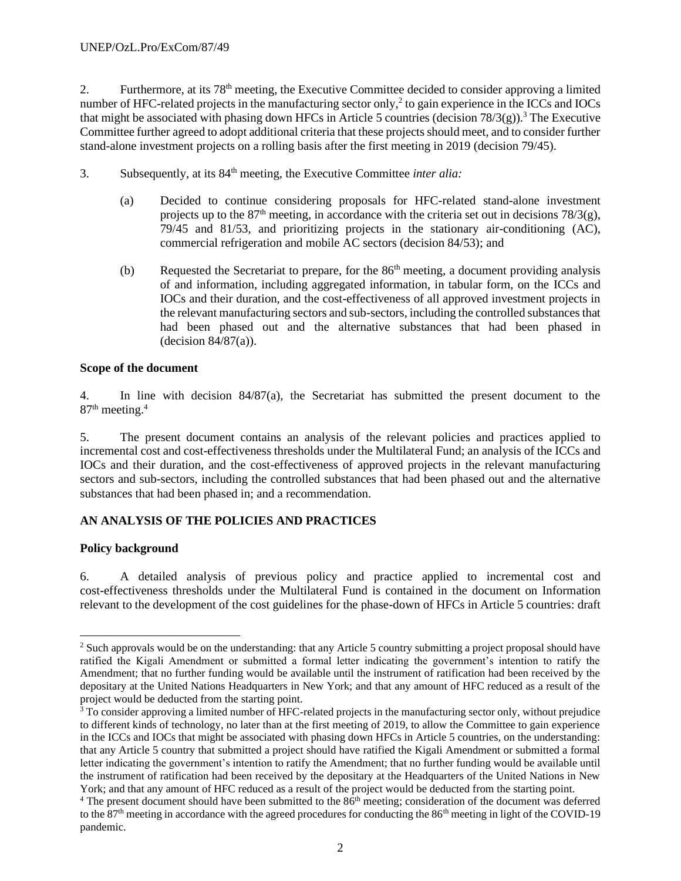2. Furthermore, at its 78th meeting, the Executive Committee decided to consider approving a limited number of HFC-related projects in the manufacturing sector only,<sup>2</sup> to gain experience in the ICCs and IOCs that might be associated with phasing down HFCs in Article 5 countries (decision  $78/3(g)$ ).<sup>3</sup> The Executive Committee further agreed to adopt additional criteria that these projects should meet, and to consider further stand-alone investment projects on a rolling basis after the first meeting in 2019 (decision 79/45).

- 3. Subsequently, at its 84th meeting, the Executive Committee *inter alia:*
	- (a) Decided to continue considering proposals for HFC-related stand-alone investment projects up to the  $87<sup>th</sup>$  meeting, in accordance with the criteria set out in decisions  $78/3(g)$ , 79/45 and 81/53, and prioritizing projects in the stationary air-conditioning (AC), commercial refrigeration and mobile AC sectors (decision 84/53); and
	- (b) Requested the Secretariat to prepare, for the  $86<sup>th</sup>$  meeting, a document providing analysis of and information, including aggregated information, in tabular form, on the ICCs and IOCs and their duration, and the cost-effectiveness of all approved investment projects in the relevant manufacturing sectors and sub-sectors, including the controlled substances that had been phased out and the alternative substances that had been phased in (decision 84/87(a)).

## **Scope of the document**

4. In line with decision 84/87(a), the Secretariat has submitted the present document to the 87<sup>th</sup> meeting.<sup>4</sup>

5. The present document contains an analysis of the relevant policies and practices applied to incremental cost and cost-effectiveness thresholds under the Multilateral Fund; an analysis of the ICCs and IOCs and their duration, and the cost-effectiveness of approved projects in the relevant manufacturing sectors and sub-sectors, including the controlled substances that had been phased out and the alternative substances that had been phased in; and a recommendation.

## **AN ANALYSIS OF THE POLICIES AND PRACTICES**

## **Policy background**

6. A detailed analysis of previous policy and practice applied to incremental cost and cost-effectiveness thresholds under the Multilateral Fund is contained in the document on Information relevant to the development of the cost guidelines for the phase-down of HFCs in Article 5 countries: draft

<sup>&</sup>lt;sup>2</sup> Such approvals would be on the understanding: that any Article 5 country submitting a project proposal should have ratified the Kigali Amendment or submitted a formal letter indicating the government's intention to ratify the Amendment; that no further funding would be available until the instrument of ratification had been received by the depositary at the United Nations Headquarters in New York; and that any amount of HFC reduced as a result of the project would be deducted from the starting point.

 $3$  To consider approving a limited number of HFC-related projects in the manufacturing sector only, without prejudice to different kinds of technology, no later than at the first meeting of 2019, to allow the Committee to gain experience in the ICCs and IOCs that might be associated with phasing down HFCs in Article 5 countries, on the understanding: that any Article 5 country that submitted a project should have ratified the Kigali Amendment or submitted a formal letter indicating the government's intention to ratify the Amendment; that no further funding would be available until the instrument of ratification had been received by the depositary at the Headquarters of the United Nations in New York; and that any amount of HFC reduced as a result of the project would be deducted from the starting point.

 $4$  The present document should have been submitted to the  $86<sup>th</sup>$  meeting; consideration of the document was deferred to the  $87<sup>th</sup>$  meeting in accordance with the agreed procedures for conducting the  $86<sup>th</sup>$  meeting in light of the COVID-19 pandemic.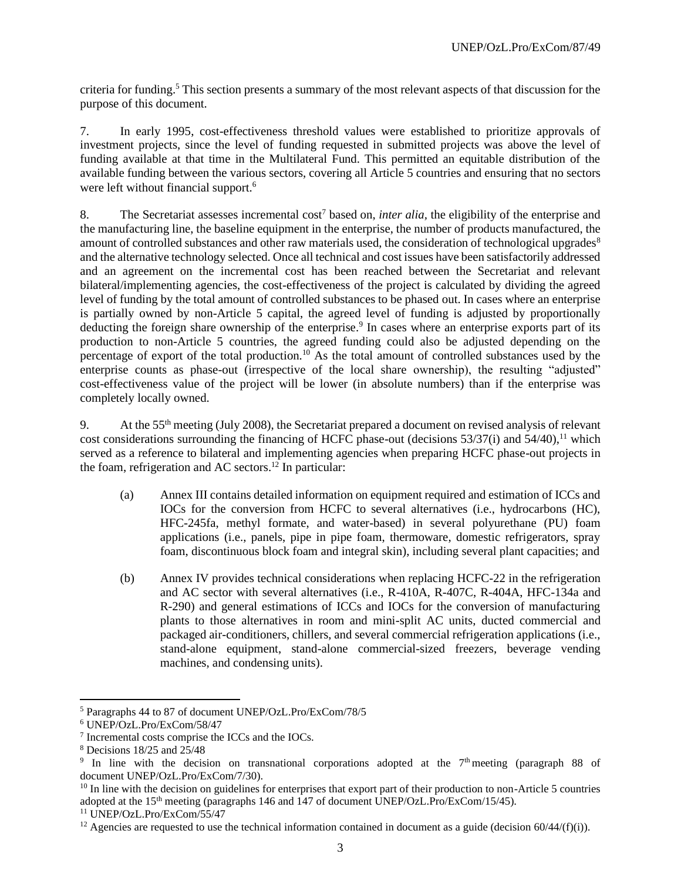criteria for funding.<sup>5</sup> This section presents a summary of the most relevant aspects of that discussion for the purpose of this document.

7. In early 1995, cost-effectiveness threshold values were established to prioritize approvals of investment projects, since the level of funding requested in submitted projects was above the level of funding available at that time in the Multilateral Fund. This permitted an equitable distribution of the available funding between the various sectors, covering all Article 5 countries and ensuring that no sectors were left without financial support.<sup>6</sup>

8. The Secretariat assesses incremental cost<sup>7</sup> based on, *inter alia,* the eligibility of the enterprise and the manufacturing line, the baseline equipment in the enterprise, the number of products manufactured, the amount of controlled substances and other raw materials used, the consideration of technological upgrades<sup>8</sup> and the alternative technology selected. Once all technical and cost issues have been satisfactorily addressed and an agreement on the incremental cost has been reached between the Secretariat and relevant bilateral/implementing agencies, the cost-effectiveness of the project is calculated by dividing the agreed level of funding by the total amount of controlled substances to be phased out. In cases where an enterprise is partially owned by non-Article 5 capital, the agreed level of funding is adjusted by proportionally deducting the foreign share ownership of the enterprise.<sup>9</sup> In cases where an enterprise exports part of its production to non-Article 5 countries, the agreed funding could also be adjusted depending on the percentage of export of the total production.<sup>10</sup> As the total amount of controlled substances used by the enterprise counts as phase-out (irrespective of the local share ownership), the resulting "adjusted" cost-effectiveness value of the project will be lower (in absolute numbers) than if the enterprise was completely locally owned.

9. At the 55th meeting (July 2008), the Secretariat prepared a document on revised analysis of relevant cost considerations surrounding the financing of HCFC phase-out (decisions  $53/37(i)$  and  $54/40$ ),<sup>11</sup> which served as a reference to bilateral and implementing agencies when preparing HCFC phase-out projects in the foam, refrigeration and AC sectors.<sup>12</sup> In particular:

- (a) Annex III contains detailed information on equipment required and estimation of ICCs and IOCs for the conversion from HCFC to several alternatives (i.e., hydrocarbons (HC), HFC-245fa, methyl formate, and water-based) in several polyurethane (PU) foam applications (i.e., panels, pipe in pipe foam, thermoware, domestic refrigerators, spray foam, discontinuous block foam and integral skin), including several plant capacities; and
- (b) Annex IV provides technical considerations when replacing HCFC-22 in the refrigeration and AC sector with several alternatives (i.e., R-410A, R-407C, R-404A, HFC-134a and R-290) and general estimations of ICCs and IOCs for the conversion of manufacturing plants to those alternatives in room and mini-split AC units, ducted commercial and packaged air-conditioners, chillers, and several commercial refrigeration applications (i.e., stand-alone equipment, stand-alone commercial-sized freezers, beverage vending machines, and condensing units).

<sup>5</sup> Paragraphs 44 to 87 of document UNEP/OzL.Pro/ExCom/78/5

<sup>6</sup> UNEP/OzL.Pro/ExCom/58/47

<sup>7</sup> Incremental costs comprise the ICCs and the IOCs.

<sup>8</sup> Decisions 18/25 and 25/48

<sup>&</sup>lt;sup>9</sup> In line with the decision on transnational corporations adopted at the 7<sup>th</sup> meeting (paragraph 88 of document UNEP/OzL.Pro/ExCom/7/30).

 $10$  In line with the decision on guidelines for enterprises that export part of their production to non-Article 5 countries adopted at the  $15<sup>th</sup>$  meeting (paragraphs 146 and  $147$  of document UNEP/OzL.Pro/ExCom/15/45).

<sup>11</sup> UNEP/OzL.Pro/ExCom/55/47

<sup>&</sup>lt;sup>12</sup> Agencies are requested to use the technical information contained in document as a guide (decision  $60/44/(f)(i)$ ).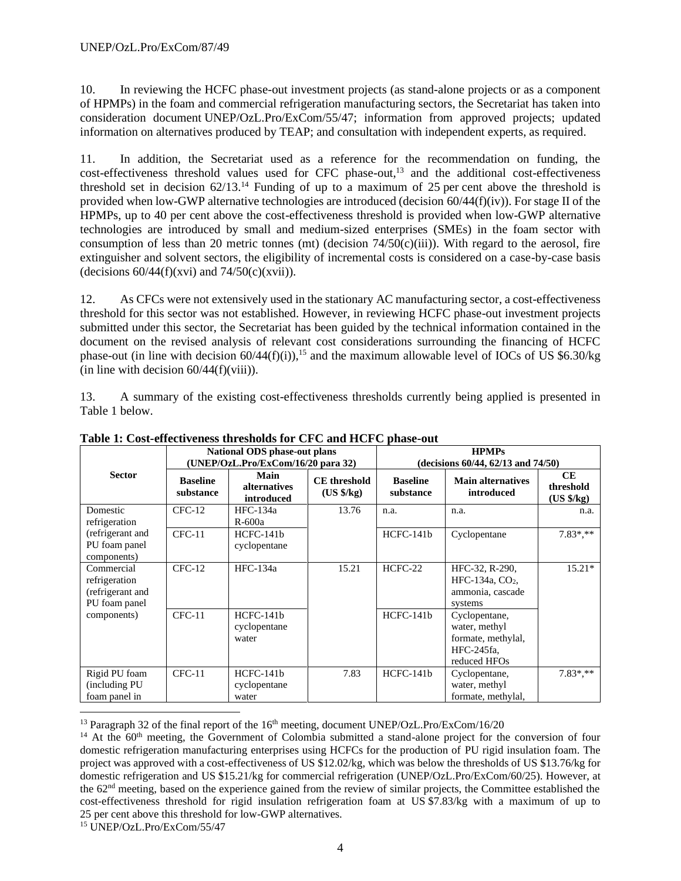10. In reviewing the HCFC phase-out investment projects (as stand-alone projects or as a component of HPMPs) in the foam and commercial refrigeration manufacturing sectors, the Secretariat has taken into consideration document UNEP/OzL.Pro/ExCom/55/47; information from approved projects; updated information on alternatives produced by TEAP; and consultation with independent experts, as required.

11. In addition, the Secretariat used as a reference for the recommendation on funding, the cost-effectiveness threshold values used for CFC phase-out,<sup>13</sup> and the additional cost-effectiveness threshold set in decision  $62/13$ .<sup>14</sup> Funding of up to a maximum of 25 per cent above the threshold is provided when low-GWP alternative technologies are introduced (decision  $60/44(f)(iv)$ ). For stage II of the HPMPs, up to 40 per cent above the cost-effectiveness threshold is provided when low-GWP alternative technologies are introduced by small and medium-sized enterprises (SMEs) in the foam sector with consumption of less than 20 metric tonnes (mt) (decision  $74/50(c)(iii)$ ). With regard to the aerosol, fire extinguisher and solvent sectors, the eligibility of incremental costs is considered on a case-by-case basis (decisions  $60/44(f)(xvi)$  and  $74/50(c)(xvii)$ ).

12. As CFCs were not extensively used in the stationary AC manufacturing sector, a cost-effectiveness threshold for this sector was not established. However, in reviewing HCFC phase-out investment projects submitted under this sector, the Secretariat has been guided by the technical information contained in the document on the revised analysis of relevant cost considerations surrounding the financing of HCFC phase-out (in line with decision  $60/44(f)(i)$ ),<sup>15</sup> and the maximum allowable level of IOCs of US \$6.30/kg (in line with decision  $60/44(f)(viii)$ ).

13. A summary of the existing cost-effectiveness thresholds currently being applied is presented in Table 1 below.

|                                                                  |                              | <b>National ODS</b> phase-out plans<br><b>HPMPs</b><br>(UNEP/OzL.Pro/ExCom/16/20 para 32)<br>(decisions 60/44, 62/13 and 74/50) |                                             |                              |                                                                                    |                                      |
|------------------------------------------------------------------|------------------------------|---------------------------------------------------------------------------------------------------------------------------------|---------------------------------------------|------------------------------|------------------------------------------------------------------------------------|--------------------------------------|
| <b>Sector</b>                                                    | <b>Baseline</b><br>substance | Main<br><i>alternatives</i><br>introduced                                                                                       | <b>CE</b> threshold<br>$(US \frac{6}{5}kg)$ | <b>Baseline</b><br>substance | <b>Main alternatives</b><br>introduced                                             | <b>CE</b><br>threshold<br>(US \$/kg) |
| Domestic<br>refrigeration                                        | $CFC-12$                     | HFC-134a<br>$R-600a$                                                                                                            | 13.76                                       | n.a.                         | n.a.                                                                               | n.a.                                 |
| (refrigerant and<br>PU foam panel<br>components)                 | $CFC-11$                     | $HCFC-141b$<br>cyclopentane                                                                                                     |                                             | $HCFC-141b$                  | Cyclopentane                                                                       | $7.83$ *.**                          |
| Commercial<br>refrigeration<br>(refrigerant and<br>PU foam panel | $CFC-12$                     | <b>HFC-134a</b>                                                                                                                 | 15.21                                       | $HCFC-22$                    | HFC-32, R-290,<br>HFC-134a, CO <sub>2</sub> ,<br>ammonia, cascade<br>systems       | $15.21*$                             |
| components)                                                      | $CFC-11$                     | HCFC-141b<br>cyclopentane<br>water                                                                                              |                                             | $HCFC-141b$                  | Cyclopentane,<br>water, methyl<br>formate, methylal,<br>HFC-245fa,<br>reduced HFOs |                                      |
| Rigid PU foam<br>(including PU)<br>foam panel in                 | $CFC-11$                     | $HCFC-141b$<br>cyclopentane<br>water                                                                                            | 7.83                                        | $HCFC-141b$                  | Cyclopentane,<br>water, methyl<br>formate, methylal,                               | $7.83$ *.**                          |

**Table 1: Cost-effectiveness thresholds for CFC and HCFC phase-out**

<sup>13</sup> Paragraph 32 of the final report of the  $16<sup>th</sup>$  meeting, document UNEP/OzL.Pro/ExCom/16/20

 $14$  At the  $60<sup>th</sup>$  meeting, the Government of Colombia submitted a stand-alone project for the conversion of four domestic refrigeration manufacturing enterprises using HCFCs for the production of PU rigid insulation foam. The project was approved with a cost-effectiveness of US \$12.02/kg, which was below the thresholds of US \$13.76/kg for domestic refrigeration and US \$15.21/kg for commercial refrigeration (UNEP/OzL.Pro/ExCom/60/25). However, at the 62nd meeting, based on the experience gained from the review of similar projects, the Committee established the cost-effectiveness threshold for rigid insulation refrigeration foam at US \$7.83/kg with a maximum of up to 25 per cent above this threshold for low-GWP alternatives.

<sup>15</sup> UNEP/OzL.Pro/ExCom/55/47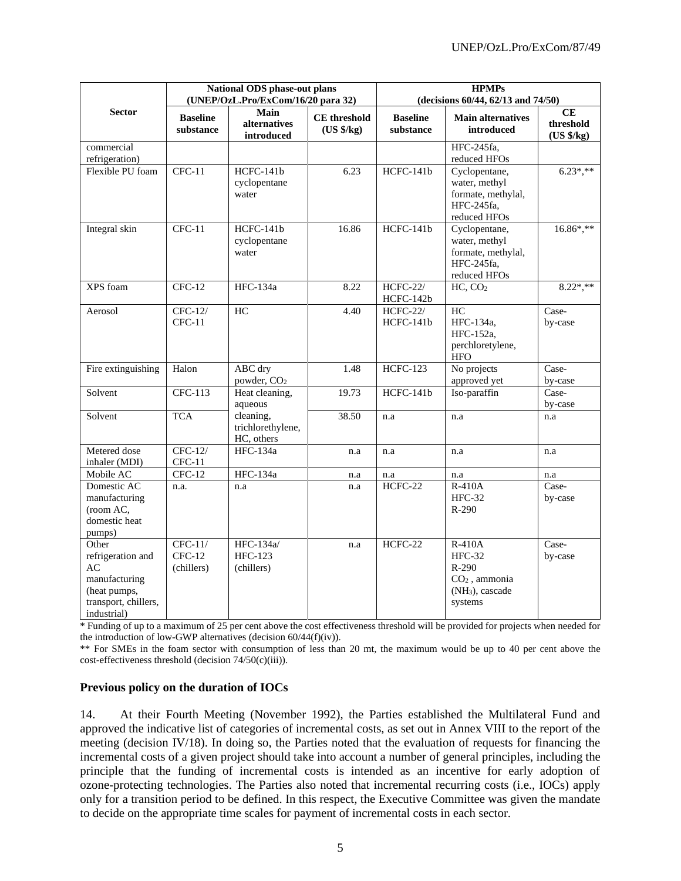|                                                                                                          |                                     | National ODS phase-out plans<br>(UNEP/OzL.Pro/ExCom/16/20 para 32) |                                   | <b>HPMPs</b><br>(decisions 60/44, 62/13 and 74/50) |                                                                                               |                               |  |
|----------------------------------------------------------------------------------------------------------|-------------------------------------|--------------------------------------------------------------------|-----------------------------------|----------------------------------------------------|-----------------------------------------------------------------------------------------------|-------------------------------|--|
| <b>Sector</b>                                                                                            | <b>Baseline</b><br>substance        | Main<br>alternatives<br>introduced                                 | <b>CE</b> threshold<br>(US \$/kg) | <b>Baseline</b><br>substance                       | <b>Main alternatives</b><br>introduced                                                        | CE<br>threshold<br>(US \$/kg) |  |
| commercial                                                                                               |                                     |                                                                    |                                   |                                                    | HFC-245fa,                                                                                    |                               |  |
| refrigeration)<br>Flexible PU foam                                                                       | $CFC-11$                            | $HCFC-141b$                                                        | 6.23                              | HCFC-141b                                          | reduced HFOs<br>Cyclopentane,                                                                 | $6.23^*, **$                  |  |
|                                                                                                          |                                     | cyclopentane<br>water                                              |                                   |                                                    | water, methyl<br>formate, methylal,<br>HFC-245fa,<br>reduced HFOs                             |                               |  |
| Integral skin                                                                                            | $CFC-11$                            | HCFC-141b<br>cyclopentane<br>water                                 | 16.86                             | HCFC-141b                                          | Cyclopentane,<br>water, methyl<br>formate, methylal,<br>HFC-245fa,<br>reduced HFOs            | $16.86^*, **$                 |  |
| XPS foam                                                                                                 | $CFC-12$                            | <b>HFC-134a</b>                                                    | 8.22                              | <b>HCFC-22/</b><br>HCFC-142b                       | HC, CO <sub>2</sub>                                                                           | $8.22$ *,**                   |  |
| Aerosol                                                                                                  | $CFC-12/$<br>$CFC-11$               | HC                                                                 | 4.40                              | <b>HCFC-22/</b><br>HCFC-141b                       | HC<br>HFC-134a,<br>HFC-152a,<br>perchloretylene,<br><b>HFO</b>                                | Case-<br>by-case              |  |
| Fire extinguishing                                                                                       | Halon                               | ABC dry<br>powder, CO <sub>2</sub>                                 | 1.48                              | <b>HCFC-123</b>                                    | No projects<br>approved yet                                                                   | Case-<br>by-case              |  |
| Solvent                                                                                                  | CFC-113                             | Heat cleaning,<br>aqueous                                          | 19.73                             | HCFC-141b                                          | Iso-paraffin                                                                                  | Case-<br>by-case              |  |
| Solvent                                                                                                  | <b>TCA</b>                          | cleaning,<br>trichlorethylene,<br>HC, others                       | 38.50                             | n.a                                                | n.a                                                                                           | n.a                           |  |
| Metered dose<br>inhaler (MDI)                                                                            | CFC-12/<br>$CFC-11$                 | <b>HFC-134a</b>                                                    | n.a                               | n.a                                                | n.a                                                                                           | n.a                           |  |
| Mobile AC                                                                                                | $CFC-12$                            | HFC-134a                                                           | n.a                               | n.a                                                | n.a                                                                                           | n.a                           |  |
| Domestic AC<br>manufacturing<br>(room AC,<br>domestic heat<br>pumps)                                     | n.a.                                | n.a                                                                | n.a                               | $HCFC-22$                                          | R-410A<br>$HFC-32$<br>$R-290$                                                                 | Case-<br>by-case              |  |
| Other<br>refrigeration and<br>AC<br>manufacturing<br>(heat pumps,<br>transport, chillers,<br>industrial) | $CFC-11/$<br>$CFC-12$<br>(chillers) | HFC-134a/<br>HFC-123<br>(chillers)                                 | n.a                               | HCFC-22                                            | R-410A<br><b>HFC-32</b><br>R-290<br>$CO2$ , ammonia<br>(NH <sub>3</sub> ), cascade<br>systems | Case-<br>by-case              |  |

\* Funding of up to a maximum of 25 per cent above the cost effectiveness threshold will be provided for projects when needed for the introduction of low-GWP alternatives (decision 60/44(f)(iv)).

\*\* For SMEs in the foam sector with consumption of less than 20 mt, the maximum would be up to 40 per cent above the cost-effectiveness threshold (decision 74/50(c)(iii)).

#### **Previous policy on the duration of IOCs**

14. At their Fourth Meeting (November 1992), the Parties established the Multilateral Fund and approved the indicative list of categories of incremental costs, as set out in Annex VIII to the report of the meeting (decision IV/18). In doing so, the Parties noted that the evaluation of requests for financing the incremental costs of a given project should take into account a number of general principles, including the principle that the funding of incremental costs is intended as an incentive for early adoption of ozone-protecting technologies. The Parties also noted that incremental recurring costs (i.e., IOCs) apply only for a transition period to be defined. In this respect, the Executive Committee was given the mandate to decide on the appropriate time scales for payment of incremental costs in each sector.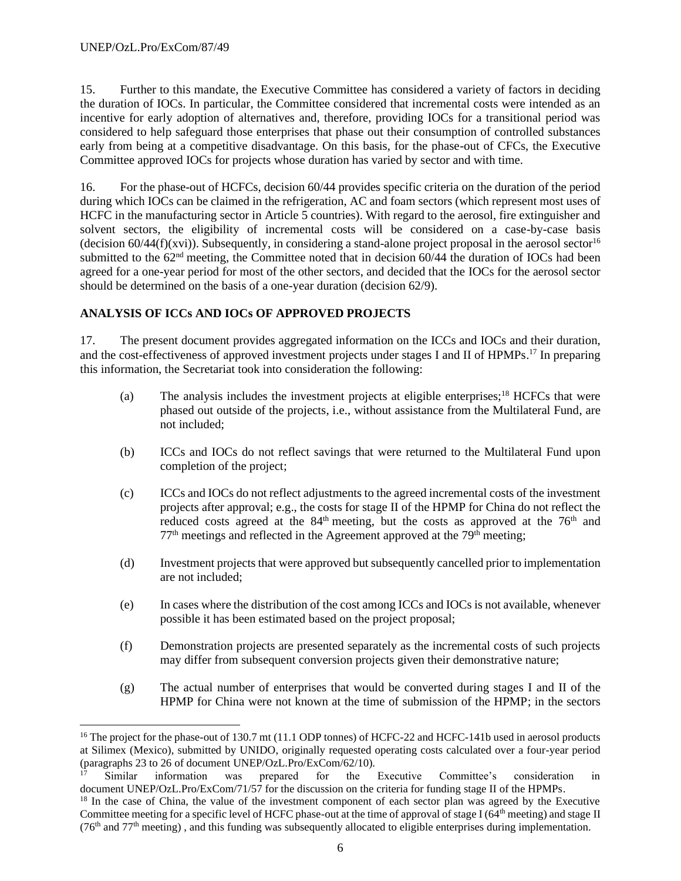15. Further to this mandate, the Executive Committee has considered a variety of factors in deciding the duration of IOCs. In particular, the Committee considered that incremental costs were intended as an incentive for early adoption of alternatives and, therefore, providing IOCs for a transitional period was considered to help safeguard those enterprises that phase out their consumption of controlled substances early from being at a competitive disadvantage. On this basis, for the phase-out of CFCs, the Executive Committee approved IOCs for projects whose duration has varied by sector and with time.

16. For the phase-out of HCFCs, decision 60/44 provides specific criteria on the duration of the period during which IOCs can be claimed in the refrigeration, AC and foam sectors (which represent most uses of HCFC in the manufacturing sector in Article 5 countries). With regard to the aerosol, fire extinguisher and solvent sectors, the eligibility of incremental costs will be considered on a case-by-case basis (decision  $60/44(f)(xvi)$ ). Subsequently, in considering a stand-alone project proposal in the aerosol sector<sup>16</sup> submitted to the  $62<sup>nd</sup>$  meeting, the Committee noted that in decision 60/44 the duration of IOCs had been agreed for a one-year period for most of the other sectors, and decided that the IOCs for the aerosol sector should be determined on the basis of a one-year duration (decision 62/9).

## **ANALYSIS OF ICCs AND IOCs OF APPROVED PROJECTS**

17. The present document provides aggregated information on the ICCs and IOCs and their duration, and the cost-effectiveness of approved investment projects under stages I and II of HPMPs.<sup>17</sup> In preparing this information, the Secretariat took into consideration the following:

- (a) The analysis includes the investment projects at eligible enterprises;<sup>18</sup> HCFCs that were phased out outside of the projects, i.e., without assistance from the Multilateral Fund, are not included;
- (b) ICCs and IOCs do not reflect savings that were returned to the Multilateral Fund upon completion of the project;
- (c) ICCs and IOCs do not reflect adjustments to the agreed incremental costs of the investment projects after approval; e.g., the costs for stage II of the HPMP for China do not reflect the reduced costs agreed at the  $84<sup>th</sup>$  meeting, but the costs as approved at the  $76<sup>th</sup>$  and  $77<sup>th</sup>$  meetings and reflected in the Agreement approved at the  $79<sup>th</sup>$  meeting;
- (d) Investment projects that were approved but subsequently cancelled prior to implementation are not included;
- (e) In cases where the distribution of the cost among ICCs and IOCs is not available, whenever possible it has been estimated based on the project proposal;
- (f) Demonstration projects are presented separately as the incremental costs of such projects may differ from subsequent conversion projects given their demonstrative nature;
- (g) The actual number of enterprises that would be converted during stages I and II of the HPMP for China were not known at the time of submission of the HPMP; in the sectors

<sup>&</sup>lt;sup>16</sup> The project for the phase-out of 130.7 mt (11.1 ODP tonnes) of HCFC-22 and HCFC-141b used in aerosol products at Silimex (Mexico), submitted by UNIDO, originally requested operating costs calculated over a four-year period (paragraphs 23 to 26 of document UNEP/OzL.Pro/ExCom/62/10).

<sup>&</sup>lt;sup>17</sup> Similar information was prepared for the Executive Committee's consideration in document UNEP/OzL.Pro/ExCom/71/57 for the discussion on the criteria for funding stage II of the HPMPs.

<sup>&</sup>lt;sup>18</sup> In the case of China, the value of the investment component of each sector plan was agreed by the Executive Committee meeting for a specific level of HCFC phase-out at the time of approval of stage I ( $64<sup>th</sup>$  meeting) and stage II  $(76<sup>th</sup>$  and  $77<sup>th</sup>$  meeting), and this funding was subsequently allocated to eligible enterprises during implementation.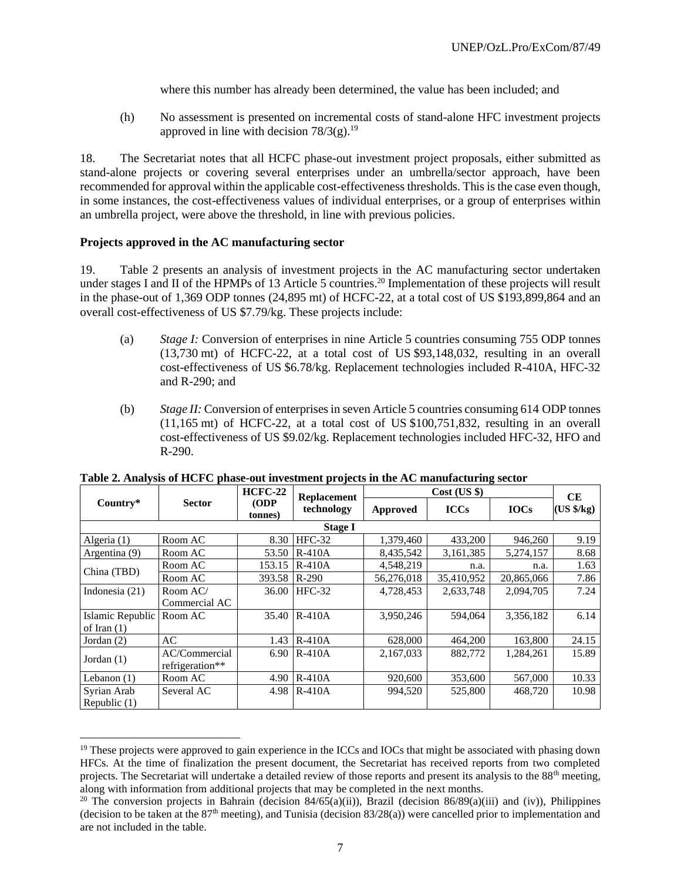where this number has already been determined, the value has been included; and

(h) No assessment is presented on incremental costs of stand-alone HFC investment projects approved in line with decision  $78/3(g).$ <sup>19</sup>

18. The Secretariat notes that all HCFC phase-out investment project proposals, either submitted as stand-alone projects or covering several enterprises under an umbrella/sector approach, have been recommended for approval within the applicable cost-effectiveness thresholds. This is the case even though, in some instances, the cost-effectiveness values of individual enterprises, or a group of enterprises within an umbrella project, were above the threshold, in line with previous policies.

## **Projects approved in the AC manufacturing sector**

19. Table 2 presents an analysis of investment projects in the AC manufacturing sector undertaken under stages I and II of the HPMPs of 13 Article 5 countries.<sup>20</sup> Implementation of these projects will result in the phase-out of 1,369 ODP tonnes (24,895 mt) of HCFC-22, at a total cost of US \$193,899,864 and an overall cost-effectiveness of US \$7.79/kg. These projects include:

- (a) *Stage I:* Conversion of enterprises in nine Article 5 countries consuming 755 ODP tonnes (13,730 mt) of HCFC-22, at a total cost of US \$93,148,032, resulting in an overall cost-effectiveness of US \$6.78/kg. Replacement technologies included R-410A, HFC-32 and R-290; and
- (b) *Stage II:* Conversion of enterprises in seven Article 5 countries consuming 614 ODP tonnes  $(11,165 \text{ mt})$  of HCFC-22, at a total cost of US \$100,751,832, resulting in an overall cost-effectiveness of US \$9.02/kg. Replacement technologies included HFC-32, HFO and R-290.

|                  |                 | $HCFC-22$      | <b>Replacement</b> |            | $Cost$ (US $\})$ |             | CE                  |
|------------------|-----------------|----------------|--------------------|------------|------------------|-------------|---------------------|
| Country*         | <b>Sector</b>   | ODP<br>tonnes) | technology         | Approved   | <b>ICCs</b>      | <b>IOCs</b> | $(US \frac{6}{kg})$ |
|                  |                 |                | <b>Stage I</b>     |            |                  |             |                     |
| Algeria (1)      | Room AC         | 8.30           | $HFC-32$           | 1,379,460  | 433,200          | 946,260     | 9.19                |
| Argentina (9)    | Room AC         | 53.50          | $R-410A$           | 8.435.542  | 3,161,385        | 5,274,157   | 8.68                |
| China (TBD)      | Room AC         | 153.15         | $R-410A$           | 4,548,219  | n.a.             | n.a.        | 1.63                |
|                  | Room AC         | 393.58         | $R-290$            | 56,276,018 | 35,410,952       | 20,865,066  | 7.86                |
| Indonesia $(21)$ | Room AC/        | 36.00          | $HFC-32$           | 4,728,453  | 2,633,748        | 2.094.705   | 7.24                |
|                  | Commercial AC   |                |                    |            |                  |             |                     |
| Islamic Republic | Room AC         | 35.40          | $R-410A$           | 3,950,246  | 594,064          | 3,356,182   | 6.14                |
| of Iran $(1)$    |                 |                |                    |            |                  |             |                     |
| Jordan $(2)$     | AC              | 1.43           | $R-410A$           | 628,000    | 464,200          | 163,800     | 24.15               |
|                  | AC/Commercial   | 6.90           | $R-410A$           | 2,167,033  | 882,772          | 1,284,261   | 15.89               |
| Jordan $(1)$     | refrigeration** |                |                    |            |                  |             |                     |
| Lebanon $(1)$    | Room AC         | 4.90           | $R-410A$           | 920,600    | 353,600          | 567,000     | 10.33               |
| Syrian Arab      | Several AC      | 4.98           | $R-410A$           | 994,520    | 525,800          | 468,720     | 10.98               |
| Republic $(1)$   |                 |                |                    |            |                  |             |                     |

**Table 2. Analysis of HCFC phase-out investment projects in the AC manufacturing sector**

<sup>&</sup>lt;sup>19</sup> These projects were approved to gain experience in the ICCs and IOCs that might be associated with phasing down HFCs. At the time of finalization the present document, the Secretariat has received reports from two completed projects. The Secretariat will undertake a detailed review of those reports and present its analysis to the  $88<sup>th</sup>$  meeting, along with information from additional projects that may be completed in the next months.

<sup>&</sup>lt;sup>20</sup> The conversion projects in Bahrain (decision 84/65(a)(ii)), Brazil (decision 86/89(a)(iii) and (iv)), Philippines (decision to be taken at the  $87<sup>th</sup>$  meeting), and Tunisia (decision  $83/28(a)$ ) were cancelled prior to implementation and are not included in the table.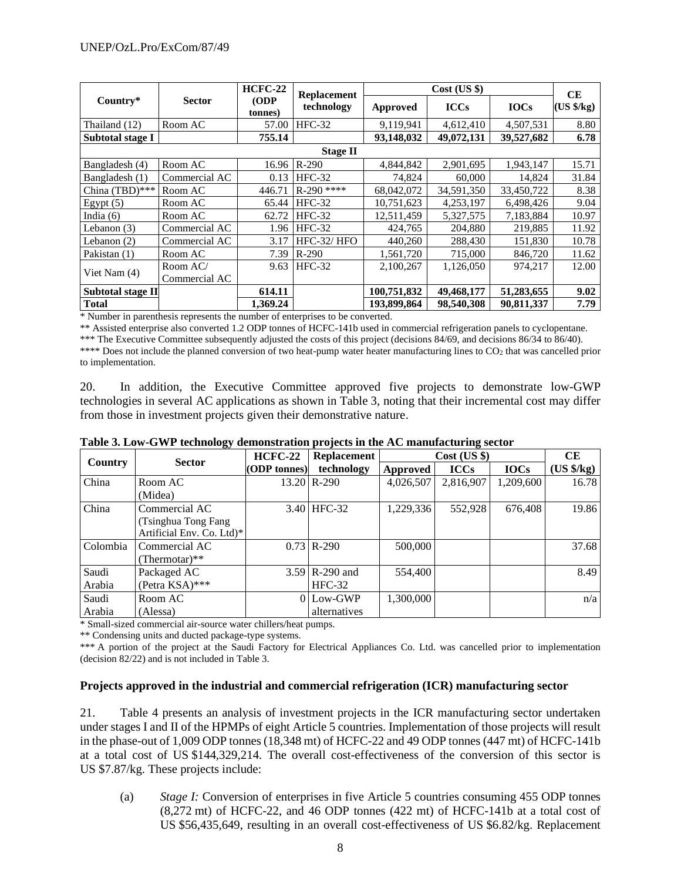|                   |                 | $HCFC-22$      | <b>Replacement</b> |             | $Cost$ (US $\})$ |             | <b>CE</b>                    |  |  |  |  |
|-------------------|-----------------|----------------|--------------------|-------------|------------------|-------------|------------------------------|--|--|--|--|
| Country*          | <b>Sector</b>   | ODP<br>tonnes) | technology         | Approved    | <b>ICCs</b>      | <b>IOCs</b> | $(US \frac{4}{5} \text{kg})$ |  |  |  |  |
| Thailand (12)     | Room AC         | 57.00          | $HFC-32$           | 9,119,941   | 4,612,410        | 4,507,531   | 8.80                         |  |  |  |  |
| Subtotal stage I  |                 | 755.14         |                    | 93,148,032  | 49,072,131       | 39,527,682  | 6.78                         |  |  |  |  |
|                   | <b>Stage II</b> |                |                    |             |                  |             |                              |  |  |  |  |
| Bangladesh (4)    | Room AC         | 16.96          | $R-290$            | 4.844.842   | 2,901,695        | 1,943,147   | 15.71                        |  |  |  |  |
| Bangladesh (1)    | Commercial AC   | 0.13           | $HFC-32$           | 74,824      | 60,000           | 14,824      | 31.84                        |  |  |  |  |
| China (TBD)***    | Room AC         | 446.71         | $R-290$ ****       | 68.042.072  | 34,591,350       | 33.450.722  | 8.38                         |  |  |  |  |
| Egypt $(5)$       | Room AC         | 65.44          | $HFC-32$           | 10,751,623  | 4,253,197        | 6,498,426   | 9.04                         |  |  |  |  |
| India $(6)$       | Room AC         | 62.72          | $HFC-32$           | 12,511,459  | 5,327,575        | 7,183,884   | 10.97                        |  |  |  |  |
| Lebanon $(3)$     | Commercial AC   | 1.96           | $HFC-32$           | 424,765     | 204,880          | 219.885     | 11.92                        |  |  |  |  |
| Lebanon $(2)$     | Commercial AC   | 3.17           | HFC-32/HFO         | 440,260     | 288,430          | 151,830     | 10.78                        |  |  |  |  |
| Pakistan (1)      | Room AC         | 7.39           | $R-290$            | 1,561,720   | 715,000          | 846,720     | 11.62                        |  |  |  |  |
|                   | Room AC/        | 9.63           | $HFC-32$           | 2,100,267   | 1,126,050        | 974,217     | 12.00                        |  |  |  |  |
| Viet Nam (4)      | Commercial AC   |                |                    |             |                  |             |                              |  |  |  |  |
| Subtotal stage II |                 | 614.11         |                    | 100,751,832 | 49,468,177       | 51,283,655  | 9.02                         |  |  |  |  |
| <b>Total</b>      |                 | 1.369.24       |                    | 193,899,864 | 98,540,308       | 90.811.337  | 7.79                         |  |  |  |  |

\* Number in parenthesis represents the number of enterprises to be converted.

\*\* Assisted enterprise also converted 1.2 ODP tonnes of HCFC-141b used in commercial refrigeration panels to cyclopentane.

\*\*\* The Executive Committee subsequently adjusted the costs of this project (decisions 84/69, and decisions 86/34 to 86/40). \*\*\*\* Does not include the planned conversion of two heat-pump water heater manufacturing lines to CO<sub>2</sub> that was cancelled prior to implementation.

20. In addition, the Executive Committee approved five projects to demonstrate low-GWP technologies in several AC applications as shown in Table 3, noting that their incremental cost may differ from those in investment projects given their demonstrative nature.

|                |                           |                | $P = 0.1$          |           |                  |             |                   |
|----------------|---------------------------|----------------|--------------------|-----------|------------------|-------------|-------------------|
|                | <b>Sector</b>             | <b>HCFC-22</b> | <b>Replacement</b> |           | $Cost$ (US $\})$ |             | CE                |
| <b>Country</b> |                           | (ODP tonnes)   | technology         | Approved  | <b>ICCs</b>      | <b>IOCs</b> | $(US \frac{6}{5}$ |
| China          | Room AC                   |                | $13.20$ R-290      | 4,026,507 | 2,816,907        | 1,209,600   | 16.78             |
|                | (Midea)                   |                |                    |           |                  |             |                   |
| China          | Commercial AC             |                | 3.40 HFC-32        | 1,229,336 | 552,928          | 676,408     | 19.86             |
|                | (Tsinghua Tong Fang       |                |                    |           |                  |             |                   |
|                | Artificial Env. Co. Ltd)* |                |                    |           |                  |             |                   |
| Colombia       | Commercial AC             |                | $0.73$ R-290       | 500,000   |                  |             | 37.68             |
|                | (Thermotar)**             |                |                    |           |                  |             |                   |
| Saudi          | Packaged AC               |                | $3.59$ R-290 and   | 554,400   |                  |             | 8.49              |
| Arabia         | (Petra KSA)***            |                | $HFC-32$           |           |                  |             |                   |
| Saudi          | Room AC                   |                | $0$ Low-GWP        | 1,300,000 |                  |             | n/a               |
| Arabia         | (Alessa)                  |                | alternatives       |           |                  |             |                   |

**Table 3. Low-GWP technology demonstration projects in the AC manufacturing sector**

\* Small-sized commercial air-source water chillers/heat pumps.

\*\* Condensing units and ducted package-type systems.

\*\*\* A portion of the project at the Saudi Factory for Electrical Appliances Co. Ltd. was cancelled prior to implementation (decision 82/22) and is not included in Table 3.

#### **Projects approved in the industrial and commercial refrigeration (ICR) manufacturing sector**

21. Table 4 presents an analysis of investment projects in the ICR manufacturing sector undertaken under stages I and II of the HPMPs of eight Article 5 countries. Implementation of those projects will result in the phase-out of 1,009 ODP tonnes (18,348 mt) of HCFC-22 and 49 ODP tonnes (447 mt) of HCFC-141b at a total cost of US \$144,329,214. The overall cost-effectiveness of the conversion of this sector is US \$7.87/kg. These projects include:

(a) *Stage I:* Conversion of enterprises in five Article 5 countries consuming 455 ODP tonnes (8,272 mt) of HCFC-22, and 46 ODP tonnes (422 mt) of HCFC-141b at a total cost of US \$56,435,649, resulting in an overall cost-effectiveness of US \$6.82/kg. Replacement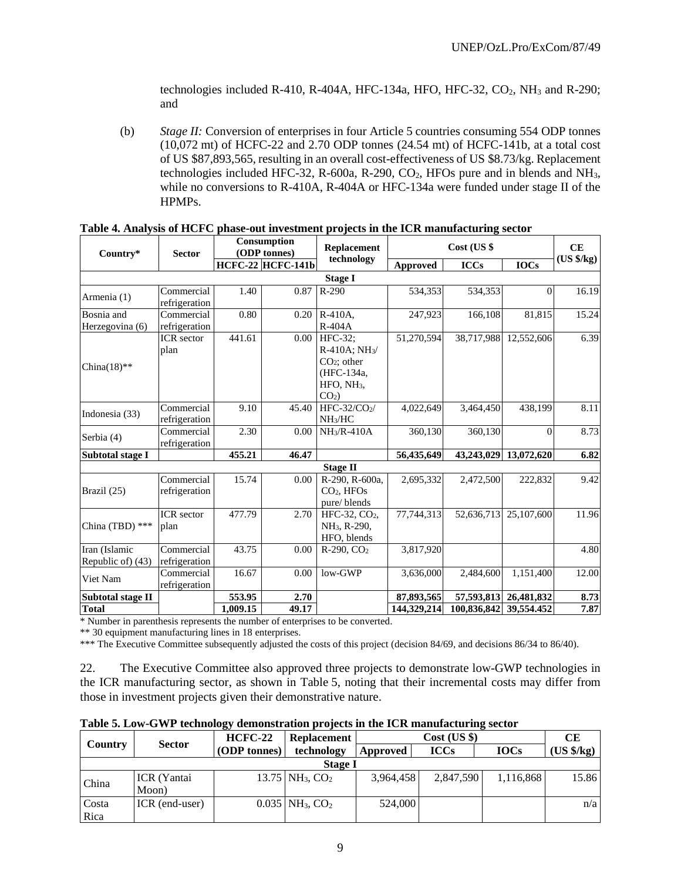technologies included R-410, R-404A, HFC-134a, HFO, HFC-32,  $CO<sub>2</sub>$ , NH<sub>3</sub> and R-290; and

(b) *Stage II:* Conversion of enterprises in four Article 5 countries consuming 554 ODP tonnes (10,072 mt) of HCFC-22 and 2.70 ODP tonnes (24.54 mt) of HCFC-141b, at a total cost of US \$87,893,565, resulting in an overall cost-effectiveness of US \$8.73/kg. Replacement technologies included HFC-32, R-600a, R-290,  $CO<sub>2</sub>$ , HFOs pure and in blends and NH<sub>3</sub>, while no conversions to R-410A, R-404A or HFC-134a were funded under stage II of the HPMPs.

| Country*                           | <b>Sector</b>               | Consumption<br>(ODP tonnes) |                          | <b>Replacement</b>                                                                               |                 |             | CE                    |            |
|------------------------------------|-----------------------------|-----------------------------|--------------------------|--------------------------------------------------------------------------------------------------|-----------------|-------------|-----------------------|------------|
|                                    |                             |                             | <b>HCFC-22 HCFC-141b</b> | technology                                                                                       | <b>Approved</b> | <b>ICCs</b> | <b>IOCs</b>           | (US \$/kg) |
|                                    |                             |                             |                          | <b>Stage I</b>                                                                                   |                 |             |                       |            |
| Armenia (1)                        | Commercial<br>refrigeration | 1.40                        | 0.87                     | $R-290$                                                                                          | 534,353         | 534,353     | $\Omega$              | 16.19      |
| Bosnia and<br>Herzegovina (6)      | Commercial<br>refrigeration | 0.80                        | 0.20                     | R-410A.<br>$R-404A$                                                                              | 247,923         | 166.108     | 81,815                | 15.24      |
| China $(18)$ **                    | <b>ICR</b> sector<br>plan   | 441.61                      | 0.00 <sub>l</sub>        | HFC-32:<br>$R-410A$ ; $NH3/$<br>$CO2$ ; other<br>(HFC-134a,<br>HFO, NH <sub>3</sub> ,<br>$CO2$ ) | 51,270,594      | 38,717,988  | 12,552,606            | 6.39       |
| Indonesia (33)                     | Commercial<br>refrigeration | 9.10                        | 45.40                    | HFC-32/CO <sub>2</sub> /<br>NH <sub>3</sub> /HC                                                  | 4,022,649       | 3,464,450   | 438,199               | 8.11       |
| Serbia (4)                         | Commercial<br>refrigeration | 2.30                        | 0.00                     | $NH3/R-410A$                                                                                     | 360,130         | 360,130     | $\Omega$              | 8.73       |
| Subtotal stage I                   |                             | 455.21                      | 46.47                    |                                                                                                  | 56,435,649      |             | 43,243,029 13,072,620 | 6.82       |
|                                    |                             |                             |                          | <b>Stage II</b>                                                                                  |                 |             |                       |            |
| Brazil (25)                        | Commercial<br>refrigeration | 15.74                       | 0.00                     | R-290, R-600a,<br>$CO2$ , HFOs<br>pure/blends                                                    | 2,695,332       | 2,472,500   | 222,832               | 9.42       |
| China (TBD) ***                    | <b>ICR</b> sector<br>plan   | 477.79                      | 2.70                     | HFC-32, CO <sub>2</sub> ,<br>NH <sub>3</sub> , R-290,<br>HFO, blends                             | 77.744.313      | 52,636,713  | 25,107,600            | 11.96      |
| Iran (Islamic<br>Republic of) (43) | Commercial<br>refrigeration | 43.75                       | 0.00                     | $R-290$ , $CO2$                                                                                  | 3,817,920       |             |                       | 4.80       |
| Viet Nam                           | Commercial<br>refrigeration | 16.67                       | 0.00                     | low-GWP                                                                                          | 3,636,000       | 2,484,600   | 1,151,400             | 12.00      |
| <b>Subtotal stage II</b>           |                             | 553.95                      | 2.70                     |                                                                                                  | 87,893,565      | 57,593,813  | 26,481,832            | 8.73       |
| <b>Total</b>                       |                             | 1,009.15                    | 49.17                    |                                                                                                  | 144,329,214     | 100,836,842 | 39,554.452            | 7.87       |

| Table 4. Analysis of HCFC phase-out investment projects in the ICR manufacturing sector |
|-----------------------------------------------------------------------------------------|
|-----------------------------------------------------------------------------------------|

\* Number in parenthesis represents the number of enterprises to be converted.

\*\* 30 equipment manufacturing lines in 18 enterprises.

\*\*\* The Executive Committee subsequently adjusted the costs of this project (decision 84/69, and decisions 86/34 to 86/40).

22. The Executive Committee also approved three projects to demonstrate low-GWP technologies in the ICR manufacturing sector, as shown in Table 5, noting that their incremental costs may differ from those in investment projects given their demonstrative nature.

| Table 5. Low-GWP technology demonstration projects in the ICR manufacturing sector |  |  |  |  |  |  |
|------------------------------------------------------------------------------------|--|--|--|--|--|--|
|------------------------------------------------------------------------------------|--|--|--|--|--|--|

|                |                | <b>HCFC-22</b> | <b>Replacement</b>                        | $Cost$ (US $\})$ |             |             | CЕ                |  |  |
|----------------|----------------|----------------|-------------------------------------------|------------------|-------------|-------------|-------------------|--|--|
| Country        | <b>Sector</b>  | (ODP tonnes)   | technology                                | Approved         | <b>ICCs</b> | <b>IOCs</b> | $(US \frac{6}{5}$ |  |  |
| <b>Stage I</b> |                |                |                                           |                  |             |             |                   |  |  |
|                | ICR (Yantai    |                | 13.75 NH <sub>3</sub> , $CO2$             | 3,964,458        | 2,847,590   | 1,116,868   | 15.86             |  |  |
| China          | Moon)          |                |                                           |                  |             |             |                   |  |  |
| Costa          | ICR (end-user) |                | $0.035$ NH <sub>3</sub> , CO <sub>2</sub> | 524,000          |             |             | n/a               |  |  |
| Rica           |                |                |                                           |                  |             |             |                   |  |  |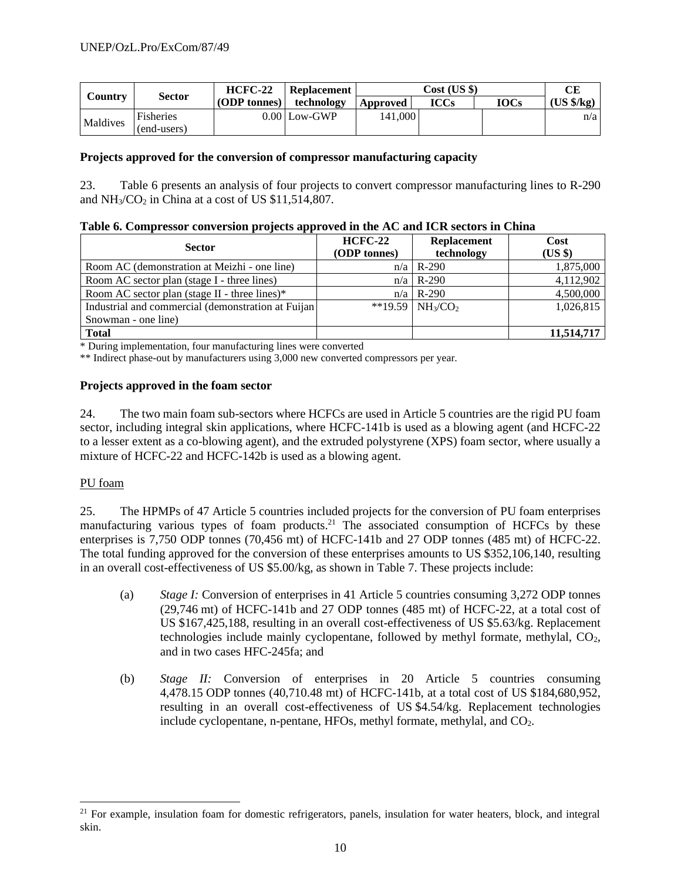|          | <b>Sector</b>    | $HCFC-22$ | Replacement    |          | Cost (US \$) |             |                     |
|----------|------------------|-----------|----------------|----------|--------------|-------------|---------------------|
| Country  |                  |           | technology     | Approved | ICCs         | <b>IOCs</b> | $(US \frac{6}{kg})$ |
| Maldives | <b>Fisheries</b> |           | $0.00$ Low-GWP | 141,000  |              |             | n/a                 |
|          | (end-users)      |           |                |          |              |             |                     |

#### **Projects approved for the conversion of compressor manufacturing capacity**

23. Table 6 presents an analysis of four projects to convert compressor manufacturing lines to R-290 and  $NH<sub>3</sub>/CO<sub>2</sub>$  in China at a cost of US \$11,514,807.

| Table 6. Compressor conversion projects approved in the AC and ICR sectors in China |  |  |  |  |
|-------------------------------------------------------------------------------------|--|--|--|--|
|                                                                                     |  |  |  |  |

| <b>Sector</b>                                       | $HCFC-22$<br>(ODP tonnes) | <b>Replacement</b><br>technology           | Cost<br>$(US \$ |
|-----------------------------------------------------|---------------------------|--------------------------------------------|-----------------|
| Room AC (demonstration at Meizhi - one line)        |                           | $n/a \mid R-290$                           | 1,875,000       |
| Room AC sector plan (stage I - three lines)         |                           | $n/a \mid R-290$                           | 4,112,902       |
| Room AC sector plan (stage II - three lines) $*$    |                           | $n/a \mid R-290$                           | 4,500,000       |
| Industrial and commercial (demonstration at Fuijan) |                           | **19.59   NH <sub>3</sub> /CO <sub>2</sub> | 1,026,815       |
| Snowman - one line)                                 |                           |                                            |                 |
| <b>Total</b>                                        |                           |                                            | 11,514,717      |

\* During implementation, four manufacturing lines were converted

\*\* Indirect phase-out by manufacturers using 3,000 new converted compressors per year.

#### **Projects approved in the foam sector**

24. The two main foam sub-sectors where HCFCs are used in Article 5 countries are the rigid PU foam sector, including integral skin applications, where HCFC-141b is used as a blowing agent (and HCFC-22 to a lesser extent as a co-blowing agent), and the extruded polystyrene (XPS) foam sector, where usually a mixture of HCFC-22 and HCFC-142b is used as a blowing agent.

## PU foam

25. The HPMPs of 47 Article 5 countries included projects for the conversion of PU foam enterprises manufacturing various types of foam products.<sup>21</sup> The associated consumption of HCFCs by these enterprises is 7,750 ODP tonnes (70,456 mt) of HCFC-141b and 27 ODP tonnes (485 mt) of HCFC-22. The total funding approved for the conversion of these enterprises amounts to US \$352,106,140, resulting in an overall cost-effectiveness of US \$5.00/kg, as shown in Table 7. These projects include:

- (a) *Stage I:* Conversion of enterprises in 41 Article 5 countries consuming 3,272 ODP tonnes (29,746 mt) of HCFC-141b and 27 ODP tonnes (485 mt) of HCFC-22, at a total cost of US \$167,425,188, resulting in an overall cost-effectiveness of US \$5.63/kg. Replacement technologies include mainly cyclopentane, followed by methyl formate, methylal,  $CO<sub>2</sub>$ , and in two cases HFC-245fa; and
- (b) *Stage II:* Conversion of enterprises in 20 Article 5 countries consuming 4,478.15 ODP tonnes (40,710.48 mt) of HCFC-141b, at a total cost of US \$184,680,952, resulting in an overall cost-effectiveness of US \$4.54/kg. Replacement technologies include cyclopentane, n-pentane, HFOs, methyl formate, methylal, and  $CO<sub>2</sub>$ .

 $21$  For example, insulation foam for domestic refrigerators, panels, insulation for water heaters, block, and integral skin.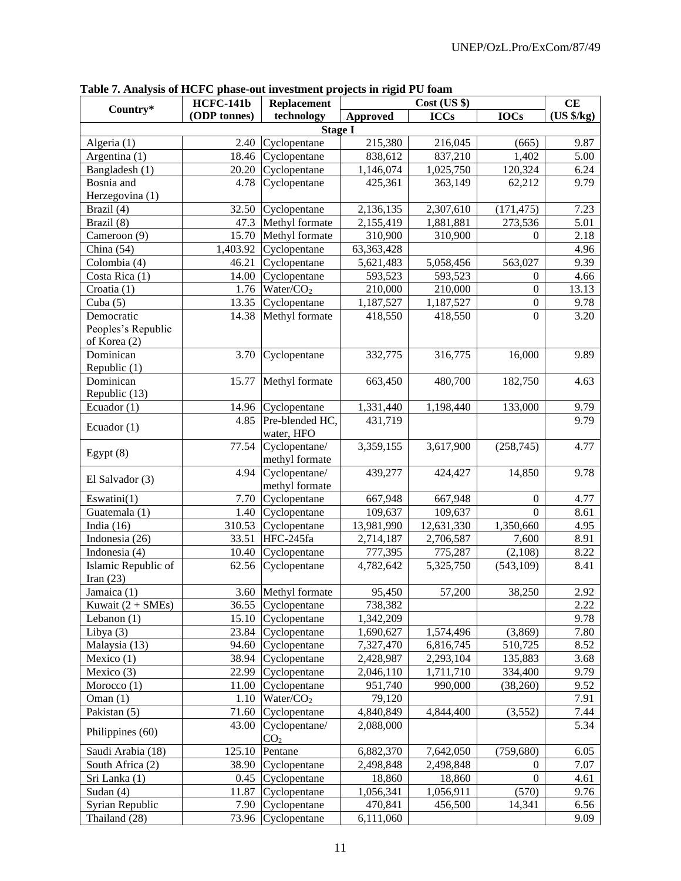|                                    | <b>HCFC-141b</b><br>Replacement |                                  |                 | CE          |                  |            |
|------------------------------------|---------------------------------|----------------------------------|-----------------|-------------|------------------|------------|
| Country*                           | (ODP tonnes)                    | technology                       | <b>Approved</b> | <b>ICCs</b> | <b>IOCs</b>      | (US \$/kg) |
|                                    |                                 | <b>Stage I</b>                   |                 |             |                  |            |
| Algeria (1)                        | 2.40                            | Cyclopentane                     | 215,380         | 216,045     | (665)            | 9.87       |
| Argentina (1)                      | 18.46                           | Cyclopentane                     | 838,612         | 837,210     | 1,402            | 5.00       |
| Bangladesh (1)                     | 20.20                           | Cyclopentane                     | 1,146,074       | 1,025,750   | 120,324          | 6.24       |
| Bosnia and                         | 4.78                            | Cyclopentane                     | 425,361         | 363,149     | 62,212           | 9.79       |
| Herzegovina (1)                    |                                 |                                  |                 |             |                  |            |
| Brazil (4)                         | 32.50                           | Cyclopentane                     | 2,136,135       | 2,307,610   | (171, 475)       | 7.23       |
| Brazil (8)                         | 47.3                            | Methyl formate                   | 2,155,419       | 1,881,881   | 273,536          | 5.01       |
| Cameroon (9)                       | 15.70                           | Methyl formate                   | 310,900         | 310,900     | 0                | 2.18       |
| China (54)                         | 1,403.92                        | Cyclopentane                     | 63,363,428      |             |                  | 4.96       |
| Colombia (4)                       | 46.21                           | Cyclopentane                     | 5,621,483       | 5,058,456   | 563,027          | 9.39       |
| Costa Rica (1)                     | 14.00                           | Cyclopentane                     | 593,523         | 593,523     | 0                | 4.66       |
| Croatia (1)                        | 1.76                            | Water/CO <sub>2</sub>            | 210,000         | 210,000     | $\mathbf{0}$     | 13.13      |
| Cuba $(5)$                         | 13.35                           | Cyclopentane                     | 1,187,527       | 1,187,527   | $\boldsymbol{0}$ | 9.78       |
| Democratic                         | 14.38                           | Methyl formate                   | 418,550         | 418,550     | $\Omega$         | 3.20       |
| Peoples's Republic<br>of Korea (2) |                                 |                                  |                 |             |                  |            |
| Dominican                          | 3.70                            | Cyclopentane                     | 332,775         | 316,775     | 16,000           | 9.89       |
| Republic (1)                       |                                 |                                  |                 |             |                  |            |
| Dominican                          | 15.77                           | Methyl formate                   | 663,450         | 480,700     | 182,750          | 4.63       |
| Republic (13)                      |                                 |                                  |                 |             |                  |            |
| Ecuador (1)                        | 14.96                           | Cyclopentane                     | 1,331,440       | 1,198,440   | 133,000          | 9.79       |
|                                    | 4.85                            | Pre-blended HC,                  | 431,719         |             |                  | 9.79       |
| Ecuador $(1)$                      |                                 | water, HFO                       |                 |             |                  |            |
|                                    | 77.54                           | Cyclopentane/                    | 3,359,155       | 3,617,900   | (258, 745)       | 4.77       |
| Egypt $(8)$                        |                                 | methyl formate                   |                 |             |                  |            |
|                                    | 4.94                            | Cyclopentane/                    | 439,277         | 424,427     | 14,850           | 9.78       |
| El Salvador (3)                    |                                 | methyl formate                   |                 |             |                  |            |
| Eswatini $(1)$                     | 7.70                            | Cyclopentane                     | 667,948         | 667,948     | $\overline{0}$   | 4.77       |
| Guatemala (1)                      | 1.40                            | Cyclopentane                     | 109,637         | 109,637     | $\boldsymbol{0}$ | 8.61       |
| India $(16)$                       | 310.53                          | Cyclopentane                     | 13,981,990      | 12,631,330  | 1,350,660        | 4.95       |
| Indonesia (26)                     | 33.51                           | HFC-245fa                        | 2,714,187       | 2,706,587   | 7,600            | 8.91       |
| Indonesia (4)                      | 10.40                           | Cyclopentane                     | 777,395         | 775,287     | (2,108)          | 8.22       |
| Islamic Republic of                | 62.56                           | Cyclopentane                     | 4,782,642       | 5,325,750   | (543, 109)       | 8.41       |
| Iran $(23)$                        |                                 |                                  |                 |             |                  |            |
| Jamaica (1)                        |                                 | 3.60 Methyl formate              | 95,450          | 57,200      | 38,250           | 2.92       |
| Kuwait $(2 + SMEs)$                |                                 | 36.55 Cyclopentane               | 738,382         |             |                  | 2.22       |
| Lebanon $(1)$                      | 15.10                           | Cyclopentane                     | 1,342,209       |             |                  | 9.78       |
| Libya $(3)$                        |                                 | 23.84 Cyclopentane               | 1,690,627       | 1,574,496   | (3,869)          | 7.80       |
| Malaysia (13)                      | 94.60                           | Cyclopentane                     | 7,327,470       | 6,816,745   | 510,725          | 8.52       |
| Mexico $(1)$                       | 38.94                           | Cyclopentane                     | 2,428,987       | 2,293,104   | 135,883          | 3.68       |
| Mexico (3)                         | 22.99                           | Cyclopentane                     | 2,046,110       | 1,711,710   | 334,400          | 9.79       |
| Morocco $(1)$                      | 11.00                           | Cyclopentane                     | 951,740         | 990,000     | (38, 260)        | 9.52       |
| Oman $(1)$                         | 1.10                            | Water/CO <sub>2</sub>            | 79,120          |             |                  | 7.91       |
| Pakistan (5)                       | 71.60                           | Cyclopentane                     | 4,840,849       | 4,844,400   | (3,552)          | 7.44       |
| Philippines (60)                   | 43.00                           | Cyclopentane/<br>CO <sub>2</sub> | 2,088,000       |             |                  | 5.34       |
| Saudi Arabia (18)                  | 125.10                          | Pentane                          | 6,882,370       | 7,642,050   | (759, 680)       | 6.05       |
| South Africa (2)                   | 38.90                           | Cyclopentane                     | 2,498,848       | 2,498,848   | $\Omega$         | 7.07       |
| Sri Lanka (1)                      |                                 | $0.45$ Cyclopentane              | 18,860          | 18,860      | $\overline{0}$   | 4.61       |
| Sudan $(4)$                        | 11.87                           | Cyclopentane                     | 1,056,341       | 1,056,911   | (570)            | 9.76       |
| Syrian Republic                    |                                 | 7.90 Cyclopentane                | 470,841         | 456,500     | 14,341           | 6.56       |
| Thailand (28)                      |                                 | 73.96 Cyclopentane               | 6,111,060       |             |                  | 9.09       |

**Table 7. Analysis of HCFC phase-out investment projects in rigid PU foam**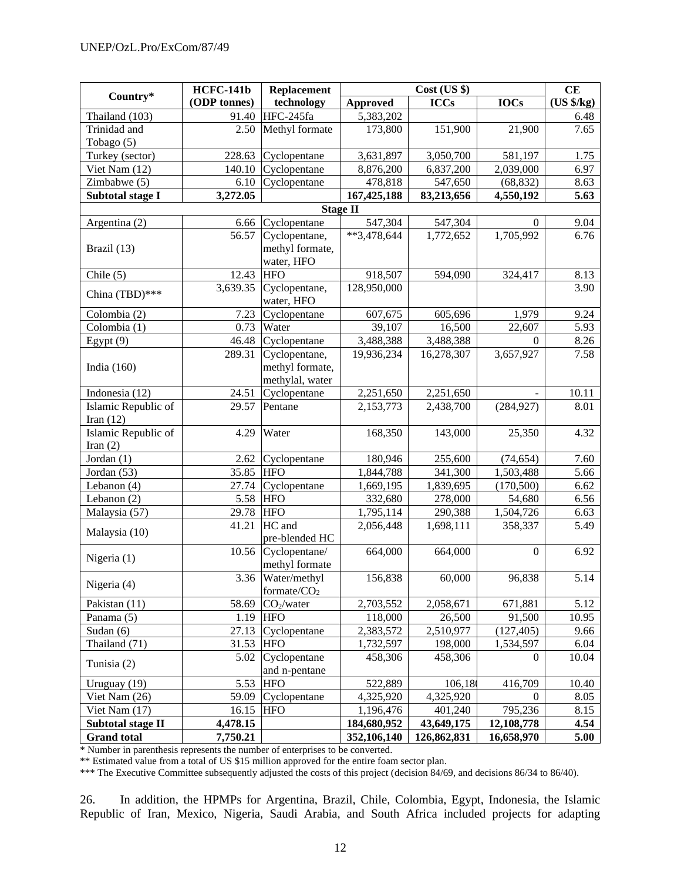|                          | <b>HCFC-141b</b> | Replacement             |                          | CE          |             |            |
|--------------------------|------------------|-------------------------|--------------------------|-------------|-------------|------------|
| Country*                 | (ODP tonnes)     | technology              | <b>Approved</b>          | <b>ICCs</b> | <b>IOCs</b> | (US \$/kg) |
| Thailand (103)           | 91.40            | HFC-245fa               | 5,383,202                |             |             | 6.48       |
| Trinidad and             | 2.50             | Methyl formate          | 173,800                  | 151,900     | 21,900      | 7.65       |
| Tobago (5)               |                  |                         |                          |             |             |            |
| Turkey (sector)          | 228.63           | Cyclopentane            | 3,631,897                | 3,050,700   | 581,197     | 1.75       |
| Viet Nam (12)            | 140.10           | Cyclopentane            | 8,876,200                | 6,837,200   | 2,039,000   | 6.97       |
| Zimbabwe (5)             | 6.10             | Cyclopentane            | 478,818                  | 547,650     | (68, 832)   | 8.63       |
| Subtotal stage I         | 3,272.05         |                         | 167,425,188              | 83,213,656  | 4,550,192   | 5.63       |
|                          |                  |                         | <b>Stage II</b>          |             |             |            |
| Argentina (2)            | 6.66             | Cyclopentane            | 547,304                  | 547,304     | $\theta$    | 9.04       |
|                          | 56.57            | Cyclopentane,           | $\overline{**}3,478,644$ | 1,772,652   | 1,705,992   | 6.76       |
| Brazil (13)              |                  | methyl formate,         |                          |             |             |            |
|                          |                  | water, HFO              |                          |             |             |            |
| Chile $(5)$              | 12.43            | <b>HFO</b>              | 918,507                  | 594,090     | 324,417     | 8.13       |
| China (TBD)***           | 3,639.35         | Cyclopentane,           | 128,950,000              |             |             | 3.90       |
|                          |                  | water, HFO              |                          |             |             |            |
| Colombia (2)             | 7.23             | Cyclopentane            | 607,675                  | 605,696     | 1,979       | 9.24       |
| Colombia (1)             | 0.73             | Water                   | 39,107                   | 16,500      | 22,607      | 5.93       |
| Egypt $(9)$              | 46.48            | Cyclopentane            | 3,488,388                | 3,488,388   | $\theta$    | 8.26       |
|                          | 289.31           | Cyclopentane,           | 19,936,234               | 16,278,307  | 3,657,927   | 7.58       |
| India $(160)$            |                  | methyl formate,         |                          |             |             |            |
|                          |                  | methylal, water         |                          |             |             |            |
| Indonesia (12)           | 24.51            | Cyclopentane            | 2,251,650                | 2,251,650   |             | 10.11      |
| Islamic Republic of      | 29.57            | Pentane                 | 2,153,773                | 2,438,700   | (284, 927)  | 8.01       |
| Iran $(12)$              |                  |                         |                          |             |             |            |
| Islamic Republic of      | 4.29             | Water                   | 168,350                  | 143,000     | 25,350      | 4.32       |
| Iran $(2)$               |                  |                         |                          |             |             |            |
| Jordan (1)               | 2.62             | Cyclopentane            | 180,946                  | 255,600     | (74, 654)   | 7.60       |
| Jordan (53)              | 35.85            | <b>HFO</b>              | 1,844,788                | 341,300     | 1,503,488   | 5.66       |
| Lebanon (4)              | 27.74            | Cyclopentane            | 1,669,195                | 1,839,695   | (170, 500)  | 6.62       |
| Lebanon (2)              | 5.58             | <b>HFO</b>              | 332,680                  | 278,000     | 54,680      | 6.56       |
| Malaysia (57)            | 29.78            | <b>HFO</b>              | 1,795,114                | 290,388     | 1,504,726   | 6.63       |
|                          | 41.21            | HC and                  | 2,056,448                | 1,698,111   | 358,337     | 5.49       |
| Malaysia (10)            |                  | pre-blended HC          |                          |             |             |            |
|                          | 10.56            | Cyclopentane/           | 664,000                  | 664,000     | $\Omega$    | 6.92       |
| Nigeria (1)              |                  | methyl formate          |                          |             |             |            |
|                          | 3.36             | Water/methyl            | 156,838                  | 60,000      | 96,838      | 5.14       |
| Nigeria (4)              |                  | formate/CO <sub>2</sub> |                          |             |             |            |
| Pakistan (11)            | 58.69            | CO <sub>2</sub> /water  | 2,703,552                | 2,058,671   | 671,881     | 5.12       |
| Panama (5)               |                  | $1.19$ HFO              | 118,000                  | 26,500      | 91,500      | 10.95      |
| Sudan (6)                | 27.13            | Cyclopentane            | 2,383,572                | 2,510,977   | (127, 405)  | 9.66       |
| Thailand (71)            | 31.53            | <b>HFO</b>              | 1,732,597                | 198,000     | 1,534,597   | 6.04       |
|                          | 5.02             | Cyclopentane            | 458,306                  | 458,306     | $\theta$    | 10.04      |
| Tunisia (2)              |                  | and n-pentane           |                          |             |             |            |
| Uruguay (19)             | 5.53             | <b>HFO</b>              | 522,889                  | 106,18      | 416,709     | 10.40      |
| Viet Nam (26)            | 59.09            | Cyclopentane            | 4,325,920                | 4,325,920   | $\theta$    | 8.05       |
| Viet Nam $(17)$          | 16.15            | <b>HFO</b>              | 1,196,476                | 401,240     | 795,236     | 8.15       |
| <b>Subtotal stage II</b> | 4,478.15         |                         | 184,680,952              | 43,649,175  | 12,108,778  | 4.54       |
| <b>Grand</b> total       | 7,750.21         |                         | 352,106,140              | 126,862,831 | 16,658,970  | 5.00       |

\* Number in parenthesis represents the number of enterprises to be converted.

\*\* Estimated value from a total of US \$15 million approved for the entire foam sector plan.

\*\*\* The Executive Committee subsequently adjusted the costs of this project (decision 84/69, and decisions 86/34 to 86/40).

26. In addition, the HPMPs for Argentina, Brazil, Chile, Colombia, Egypt, Indonesia, the Islamic Republic of Iran, Mexico, Nigeria, Saudi Arabia, and South Africa included projects for adapting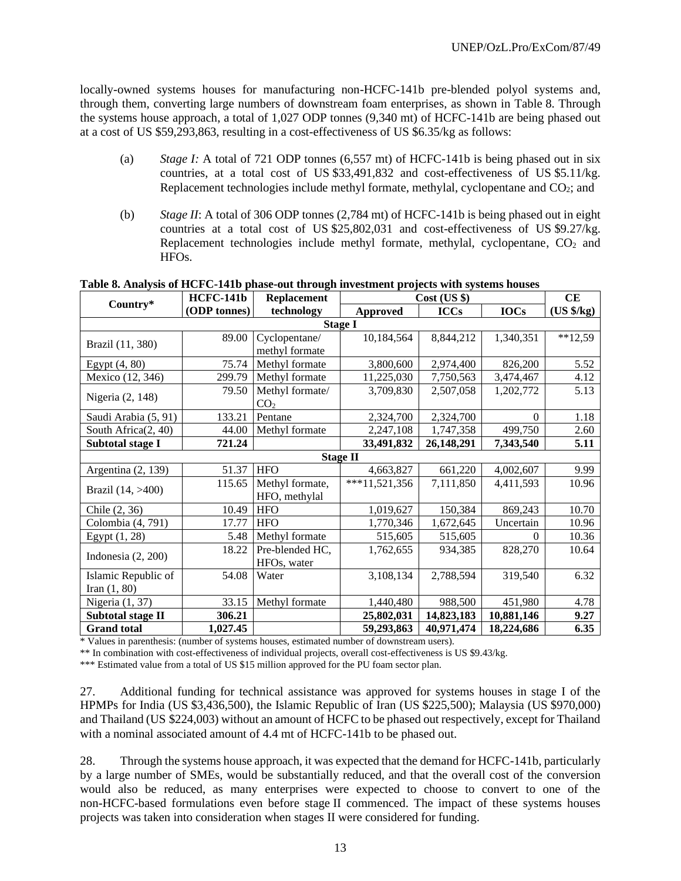locally-owned systems houses for manufacturing non-HCFC-141b pre-blended polyol systems and, through them, converting large numbers of downstream foam enterprises, as shown in Table 8. Through the systems house approach, a total of 1,027 ODP tonnes (9,340 mt) of HCFC-141b are being phased out at a cost of US \$59,293,863, resulting in a cost-effectiveness of US \$6.35/kg as follows:

- (a) *Stage I:* A total of 721 ODP tonnes (6,557 mt) of HCFC-141b is being phased out in six countries, at a total cost of US \$33,491,832 and cost-effectiveness of US \$5.11/kg. Replacement technologies include methyl formate, methylal, cyclopentane and  $CO<sub>2</sub>$ ; and
- (b) *Stage II*: A total of 306 ODP tonnes (2,784 mt) of HCFC-141b is being phased out in eight countries at a total cost of US \$25,802,031 and cost-effectiveness of US \$9.27/kg. Replacement technologies include methyl formate, methylal, cyclopentane,  $CO<sub>2</sub>$  and HFOs.

| Country*                          | <b>HCFC-141b</b> | <b>Replacement</b> | $Cost$ (US $\})$ | CE          |            |           |
|-----------------------------------|------------------|--------------------|------------------|-------------|------------|-----------|
| (ODP tonnes)<br>technology        |                  | <b>Approved</b>    | <b>ICCs</b>      | <b>IOCs</b> | (US \$/kg) |           |
|                                   |                  |                    | <b>Stage I</b>   |             |            |           |
| Brazil (11, 380)                  | 89.00            | Cyclopentane/      | 10,184,564       | 8,844,212   | 1,340,351  | $**12,59$ |
|                                   |                  | methyl formate     |                  |             |            |           |
| Egypt (4, 80)                     | 75.74            | Methyl formate     | 3,800,600        | 2,974,400   | 826,200    | 5.52      |
| Mexico (12, 346)                  | 299.79           | Methyl formate     | 11,225,030       | 7,750,563   | 3,474,467  | 4.12      |
|                                   | 79.50            | Methyl formate/    | 3,709,830        | 2,507,058   | 1,202,772  | 5.13      |
| Nigeria (2, 148)                  |                  | CO <sub>2</sub>    |                  |             |            |           |
| Saudi Arabia (5, 91)              | 133.21           | Pentane            | 2,324,700        | 2,324,700   | $\Omega$   | 1.18      |
| South Africa(2, 40)               | 44.00            | Methyl formate     | 2,247,108        | 1,747,358   | 499,750    | 2.60      |
| <b>Subtotal stage I</b><br>721.24 |                  | 33,491,832         | 26,148,291       | 7,343,540   | 5.11       |           |
|                                   |                  |                    | <b>Stage II</b>  |             |            |           |
| Argentina (2, 139)                | 51.37            | <b>HFO</b>         | 4,663,827        | 661,220     | 4,002,607  | 9.99      |
|                                   | 115.65           | Methyl formate,    | $***11,521,356$  | 7,111,850   | 4,411,593  | 10.96     |
| Brazil (14, >400)                 |                  | HFO, methylal      |                  |             |            |           |
| Chile (2, 36)                     | 10.49            | <b>HFO</b>         | 1,019,627        | 150,384     | 869,243    | 10.70     |
| Colombia (4, 791)                 | 17.77            | <b>HFO</b>         | 1,770,346        | 1,672,645   | Uncertain  | 10.96     |
| Egypt $(1, 28)$                   | 5.48             | Methyl formate     | 515,605          | 515,605     | $\Omega$   | 10.36     |
|                                   | 18.22            | Pre-blended HC,    | 1,762,655        | 934,385     | 828,270    | 10.64     |
| Indonesia $(2, 200)$              |                  | HFOs, water        |                  |             |            |           |
| Islamic Republic of               | 54.08            | Water              | 3,108,134        | 2,788,594   | 319,540    | 6.32      |
| Iran $(1, 80)$                    |                  |                    |                  |             |            |           |
| Nigeria $(1, 37)$                 | 33.15            | Methyl formate     | 1,440,480        | 988,500     | 451,980    | 4.78      |
| <b>Subtotal stage II</b>          | 306.21           |                    | 25,802,031       | 14,823,183  | 10,881,146 | 9.27      |
| <b>Grand</b> total                | 1,027.45         |                    | 59,293,863       | 40,971,474  | 18,224,686 | 6.35      |

**Table 8. Analysis of HCFC-141b phase-out through investment projects with systems houses**

\* Values in parenthesis: (number of systems houses, estimated number of downstream users).

\*\* In combination with cost-effectiveness of individual projects, overall cost-effectiveness is US \$9.43/kg.

\*\*\* Estimated value from a total of US \$15 million approved for the PU foam sector plan.

27. Additional funding for technical assistance was approved for systems houses in stage I of the HPMPs for India (US \$3,436,500), the Islamic Republic of Iran (US \$225,500); Malaysia (US \$970,000) and Thailand (US \$224,003) without an amount of HCFC to be phased out respectively, except for Thailand with a nominal associated amount of 4.4 mt of HCFC-141b to be phased out.

28. Through the systems house approach, it was expected that the demand for HCFC-141b, particularly by a large number of SMEs, would be substantially reduced, and that the overall cost of the conversion would also be reduced, as many enterprises were expected to choose to convert to one of the non-HCFC-based formulations even before stage II commenced. The impact of these systems houses projects was taken into consideration when stages II were considered for funding.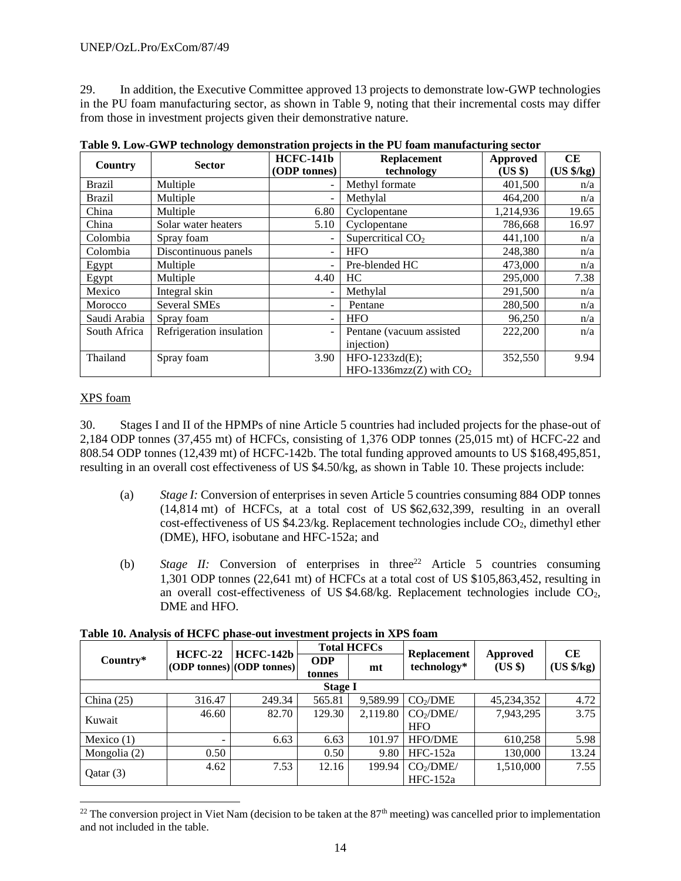29. In addition, the Executive Committee approved 13 projects to demonstrate low-GWP technologies in the PU foam manufacturing sector, as shown in Table 9, noting that their incremental costs may differ from those in investment projects given their demonstrative nature.

| Country       | <b>Sector</b>            | <b>HCFC-141b</b>         | Replacement               | Approved  | CE                    |
|---------------|--------------------------|--------------------------|---------------------------|-----------|-----------------------|
|               |                          | (ODP tonnes)             | technology                | (US \$)   | $(US \frac{4}{5}/kg)$ |
| <b>Brazil</b> | Multiple                 | $\blacksquare$           | Methyl formate            | 401,500   | n/a                   |
| <b>Brazil</b> | Multiple                 | $\overline{\phantom{a}}$ | Methylal                  | 464,200   | n/a                   |
| China         | Multiple                 | 6.80                     | Cyclopentane              | 1,214,936 | 19.65                 |
| China         | Solar water heaters      | 5.10                     | Cyclopentane              | 786,668   | 16.97                 |
| Colombia      | Spray foam               | $\overline{\phantom{a}}$ | Supercritical $CO2$       | 441,100   | n/a                   |
| Colombia      | Discontinuous panels     | $\overline{\phantom{0}}$ | <b>HFO</b>                | 248,380   | n/a                   |
| Egypt         | Multiple                 | $\overline{\phantom{a}}$ | Pre-blended HC            | 473,000   | n/a                   |
| Egypt         | Multiple                 | 4.40                     | HC.                       | 295,000   | 7.38                  |
| Mexico        | Integral skin            |                          | Methylal                  | 291,500   | n/a                   |
| Morocco       | <b>Several SMEs</b>      | $\overline{\phantom{0}}$ | Pentane                   | 280,500   | n/a                   |
| Saudi Arabia  | Spray foam               | ٠                        | <b>HFO</b>                | 96,250    | n/a                   |
| South Africa  | Refrigeration insulation | ۰                        | Pentane (vacuum assisted  | 222,200   | n/a                   |
|               |                          |                          | injection)                |           |                       |
| Thailand      | Spray foam               | 3.90                     | HFO-1233zd(E);            | 352,550   | 9.94                  |
|               |                          |                          | HFO-1336mzz(Z) with $CO2$ |           |                       |

**Table 9. Low-GWP technology demonstration projects in the PU foam manufacturing sector**

## XPS foam

30. Stages I and II of the HPMPs of nine Article 5 countries had included projects for the phase-out of 2,184 ODP tonnes (37,455 mt) of HCFCs, consisting of 1,376 ODP tonnes (25,015 mt) of HCFC-22 and 808.54 ODP tonnes (12,439 mt) of HCFC-142b. The total funding approved amounts to US \$168,495,851, resulting in an overall cost effectiveness of US \$4.50/kg, as shown in Table 10. These projects include:

- (a) *Stage I:* Conversion of enterprises in seven Article 5 countries consuming 884 ODP tonnes (14,814 mt) of HCFCs, at a total cost of US \$62,632,399, resulting in an overall cost-effectiveness of US  $$4.23/kg$ . Replacement technologies include CO<sub>2</sub>, dimethyl ether (DME), HFO, isobutane and HFC-152a; and
- (b) *Stage II:* Conversion of enterprises in three<sup>22</sup> Article 5 countries consuming 1,301 ODP tonnes (22,641 mt) of HCFCs at a total cost of US \$105,863,452, resulting in an overall cost-effectiveness of US  $$4.68/kg$ . Replacement technologies include CO<sub>2</sub>, DME and HFO.

|              |                |                                               | <b>Total HCFCs</b>   |          |                                   |                            | CЕ                   |
|--------------|----------------|-----------------------------------------------|----------------------|----------|-----------------------------------|----------------------------|----------------------|
| Country*     | <b>HCFC-22</b> | <b>HCFC-142b</b><br>(ODP tonnes) (ODP tonnes) | <b>ODP</b><br>tonnes | mt       | <b>Replacement</b><br>technology* | <b>Approved</b><br>(US \$) | $(US \frac{6}{5}kg)$ |
|              |                |                                               | <b>Stage I</b>       |          |                                   |                            |                      |
| China $(25)$ | 316.47         | 249.34                                        | 565.81               | 9,589.99 | CO <sub>2</sub> /DME              | 45,234,352                 | 4.72                 |
|              | 46.60          | 82.70                                         | 129.30               | 2,119.80 | CO <sub>2</sub> /DME/             | 7,943,295                  | 3.75                 |
| Kuwait       |                |                                               |                      |          | <b>HFO</b>                        |                            |                      |
| Mexico $(1)$ |                | 6.63                                          | 6.63                 | 101.97   | <b>HFO/DME</b>                    | 610,258                    | 5.98                 |
| Mongolia (2) | 0.50           |                                               | 0.50                 | 9.80     | $HFC-152a$                        | 130,000                    | 13.24                |
|              | 4.62           | 7.53                                          | 12.16                | 199.94   | CO <sub>2</sub> /DME/             | 1,510,000                  | 7.55                 |
| Qatar(3)     |                |                                               |                      |          | $HFC-152a$                        |                            |                      |

## **Table 10. Analysis of HCFC phase-out investment projects in XPS foam**

<sup>&</sup>lt;sup>22</sup> The conversion project in Viet Nam (decision to be taken at the  $87<sup>th</sup>$  meeting) was cancelled prior to implementation and not included in the table.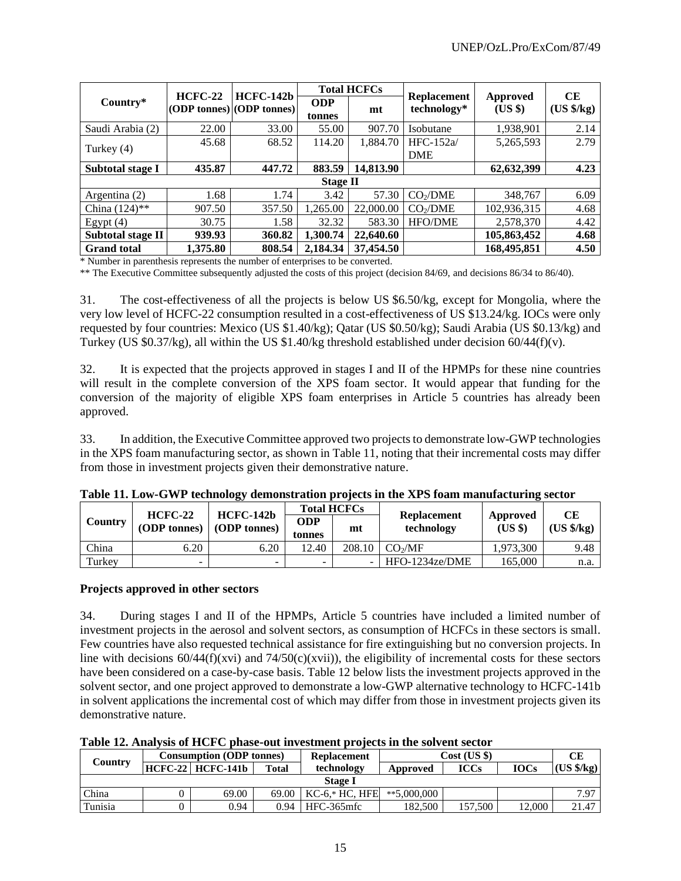|                    |           |                                          | <b>Total HCFCs</b>   |           |                                   |                            | CЕ                   |
|--------------------|-----------|------------------------------------------|----------------------|-----------|-----------------------------------|----------------------------|----------------------|
| Country*           | $HCFC-22$ | $HCFC-142b$<br>(ODP tonnes) (ODP tonnes) | <b>ODP</b><br>tonnes | mt        | <b>Replacement</b><br>technology* | <b>Approved</b><br>$(US \$ | $(US \frac{4}{5}kg)$ |
| Saudi Arabia (2)   | 22.00     | 33.00                                    | 55.00                | 907.70    | Isobutane                         | 1,938,901                  | 2.14                 |
|                    | 45.68     | 68.52                                    | 114.20               | 1,884.70  | $HFC-152a/$                       | 5,265,593                  | 2.79                 |
| Turkey (4)         |           |                                          |                      |           | <b>DME</b>                        |                            |                      |
| Subtotal stage I   | 435.87    | 447.72                                   | 883.59               | 14,813.90 |                                   | 62,632,399                 | 4.23                 |
|                    |           |                                          | Stage II             |           |                                   |                            |                      |
| Argentina $(2)$    | 1.68      | 1.74                                     | 3.42                 | 57.30     | CO <sub>2</sub> /DME              | 348,767                    | 6.09                 |
| China $(124)$ **   | 907.50    | 357.50                                   | 1,265.00             | 22,000.00 | CO <sub>2</sub> /DME              | 102,936,315                | 4.68                 |
| Egypt $(4)$        | 30.75     | 1.58                                     | 32.32                | 583.30    | <b>HFO/DME</b>                    | 2,578,370                  | 4.42                 |
| Subtotal stage II  | 939.93    | 360.82                                   | 1.300.74             | 22,640.60 |                                   | 105,863,452                | 4.68                 |
| <b>Grand</b> total | 1,375.80  | 808.54                                   | 2.184.34             | 37,454.50 |                                   | 168,495,851                | 4.50                 |

\* Number in parenthesis represents the number of enterprises to be converted.

\*\* The Executive Committee subsequently adjusted the costs of this project (decision 84/69, and decisions 86/34 to 86/40).

31. The cost-effectiveness of all the projects is below US \$6.50/kg, except for Mongolia, where the very low level of HCFC-22 consumption resulted in a cost-effectiveness of US \$13.24/kg. IOCs were only requested by four countries: Mexico (US \$1.40/kg); Qatar (US \$0.50/kg); Saudi Arabia (US \$0.13/kg) and Turkey (US \$0.37/kg), all within the US \$1.40/kg threshold established under decision 60/44(f)(v).

32. It is expected that the projects approved in stages I and II of the HPMPs for these nine countries will result in the complete conversion of the XPS foam sector. It would appear that funding for the conversion of the majority of eligible XPS foam enterprises in Article 5 countries has already been approved.

33. In addition, the Executive Committee approved two projects to demonstrate low-GWP technologies in the XPS foam manufacturing sector, as shown in Table 11, noting that their incremental costs may differ from those in investment projects given their demonstrative nature.

|         | $HCFC-22$    |                                    |               | <b>Total HCFCs</b> |                                  |                   | CЕ                  |  |
|---------|--------------|------------------------------------|---------------|--------------------|----------------------------------|-------------------|---------------------|--|
| Country | (ODP tonnes) | $HCFC-142b$<br><b>(ODP tonnes)</b> | ODP<br>tonnes | mt                 | <b>Replacement</b><br>technology | Approved<br>(USS) | $(US \frac{6}{kg})$ |  |
| China   | 6.20         | 6.20                               | 12.40         | $208.10$           | CO <sub>2</sub> /MF              | 1.973.300         | 9.48                |  |
| Turkey  | -            | -                                  | -             |                    | $HFO-1234ze/DME$                 | 165.000           | n.a.                |  |

#### **Projects approved in other sectors**

34. During stages I and II of the HPMPs, Article 5 countries have included a limited number of investment projects in the aerosol and solvent sectors, as consumption of HCFCs in these sectors is small. Few countries have also requested technical assistance for fire extinguishing but no conversion projects. In line with decisions  $60/44(f)(xvi)$  and  $74/50(c)(xvii)$ , the eligibility of incremental costs for these sectors have been considered on a case-by-case basis. Table 12 below lists the investment projects approved in the solvent sector, and one project approved to demonstrate a low-GWP alternative technology to HCFC-141b in solvent applications the incremental cost of which may differ from those in investment projects given its demonstrative nature.

|  |  | Table 12. Analysis of HCFC phase-out investment projects in the solvent sector |
|--|--|--------------------------------------------------------------------------------|
|--|--|--------------------------------------------------------------------------------|

|                | <b>Consumption (ODP tonnes)</b> |                   |              | <b>Replacement</b> | $Cost$ (US \$) |             |             | CЕ                  |  |  |
|----------------|---------------------------------|-------------------|--------------|--------------------|----------------|-------------|-------------|---------------------|--|--|
| Country        |                                 | HCFC-22 HCFC-141b | <b>Total</b> | technology         | Approved       | <b>ICCs</b> | <b>IOCs</b> | $(US \frac{6}{kg})$ |  |  |
| <b>Stage I</b> |                                 |                   |              |                    |                |             |             |                     |  |  |
| China          |                                 | 69.00             | 69.00        | $KCA*HC, HFE$      | $**5,000,000$  |             |             | 7.97                |  |  |
| Tunisia        |                                 | 0.94              | 0.94         | HFC-365mfc         | 182.500        | 157.500     | 12.000      | 21.47               |  |  |